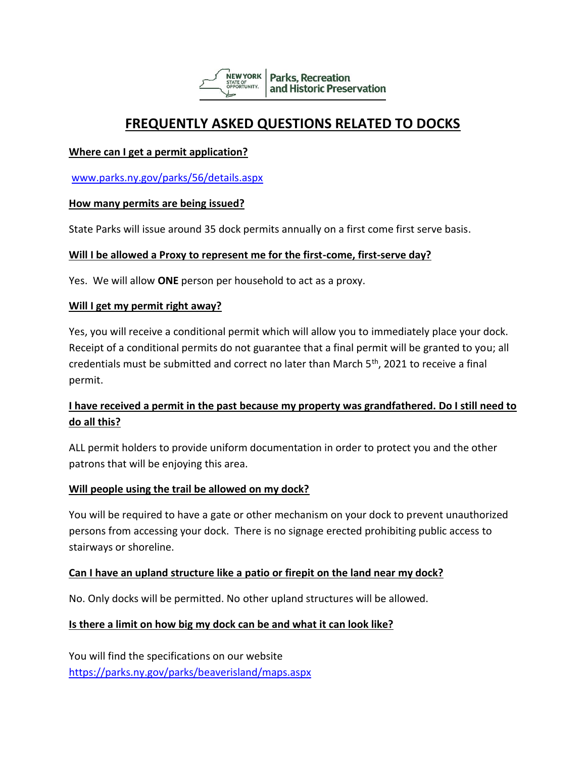

# **FREQUENTLY ASKED QUESTIONS RELATED TO DOCKS**

#### **Where can I get a permit application?**

[www.parks.ny.gov/parks/56/details.aspx](http://www.parks.ny.gov/parks/56/details.aspx)

#### **How many permits are being issued?**

State Parks will issue around 35 dock permits annually on a first come first serve basis.

#### **Will I be allowed a Proxy to represent me for the first-come, first-serve day?**

Yes. We will allow **ONE** person per household to act as a proxy.

#### **Will I get my permit right away?**

Yes, you will receive a conditional permit which will allow you to immediately place your dock. Receipt of a conditional permits do not guarantee that a final permit will be granted to you; all credentials must be submitted and correct no later than March 5<sup>th</sup>, 2021 to receive a final permit.

## **I have received a permit in the past because my property was grandfathered. Do I still need to do all this?**

ALL permit holders to provide uniform documentation in order to protect you and the other patrons that will be enjoying this area.

#### **Will people using the trail be allowed on my dock?**

You will be required to have a gate or other mechanism on your dock to prevent unauthorized persons from accessing your dock. There is no signage erected prohibiting public access to stairways or shoreline.

#### **Can I have an upland structure like a patio or firepit on the land near my dock?**

No. Only docks will be permitted. No other upland structures will be allowed.

#### **Is there a limit on how big my dock can be and what it can look like?**

You will find the specifications on our website <https://parks.ny.gov/parks/beaverisland/maps.aspx>